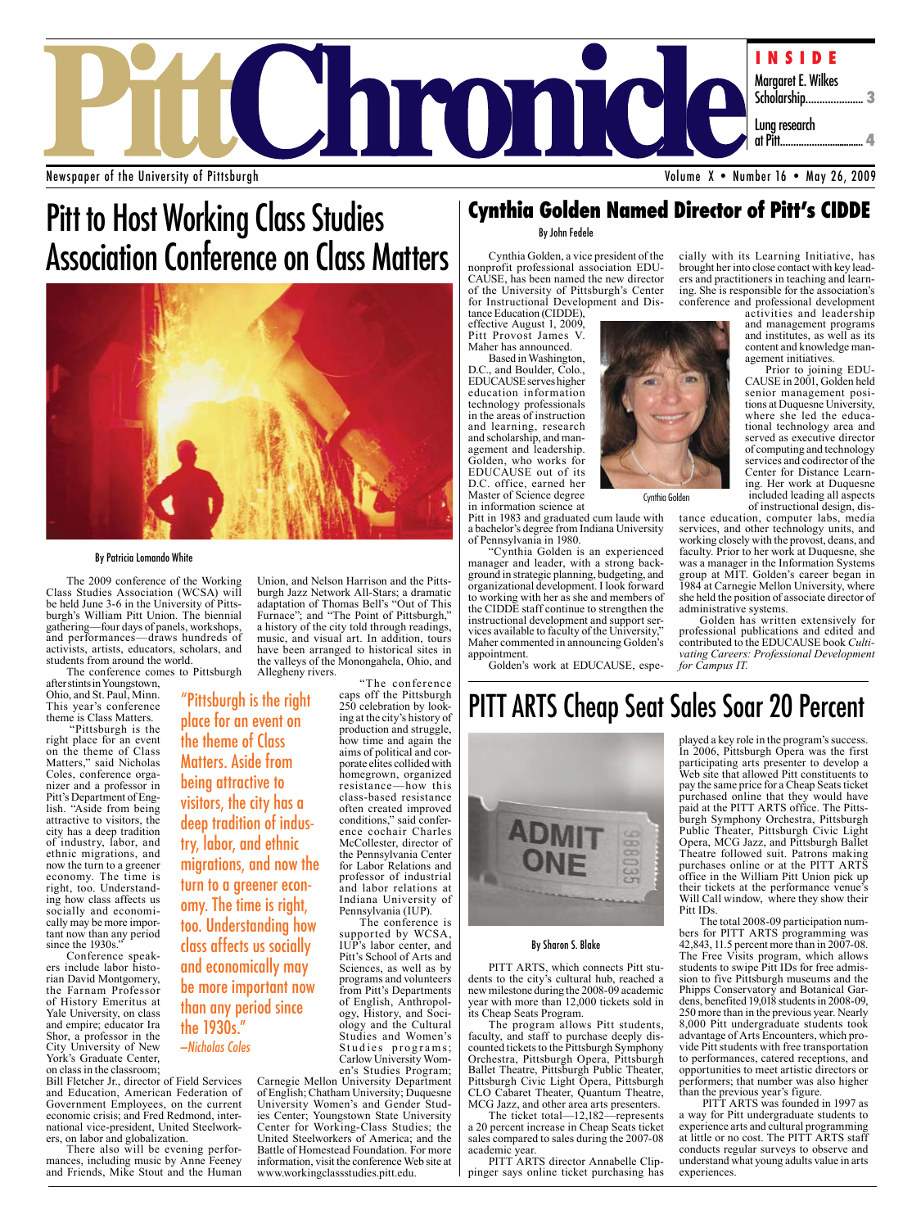

Newspaper of the University of Pittsburgh

## Pitt to Host Working Class Studies Association Conference on Class Matters



place for an event on the theme of Class Matters. Aside from being attractive to visitors, the city has a deep tradition of indus-

try, labor, and ethnic

the 1930s." —Nicholas Coles

migrations, and now the turn to a greener economy. The time is right, too. Understanding how class affects us socially and economically may be more important now than any period since

#### By Patricia Lomando White

The 2009 conference of the Working Class Studies Association (WCSA) will burgh's William Pitt Union. The biennial gathering—four days of panels, workshops, and performances—draws hundreds of activists, artists, educators, scholars, and students from around the world.

The conference comes to Pittsburgh after stints in Youngstown, "Pittsburgh is the right

Ohio, and St. Paul, Minn. This year's conference theme is Class Matters. "Pittsburgh is the

right place for an event on the theme of Class Matters," said Nicholas<br>Coles, conference organizer and a professor in<br>Pitt's Department of English. "Aside from being attractive to visitors, the city has a deep tradition of industry, labor, and ethnic migrations, and now the turn to a greener economy. The time is right, too. Understanding how class affects us socially and economically may be more important now than any period since the 1930s."

Conference speakers include labor historian David Montgomery, the Farnam Professor of History Emeritus at Yale University, on class and empire; educator Ira Shor, a professor in the City University of New York's Graduate Center, on class in the classroom;

Bill Fletcher Jr., director of Field Services and Education, American Federation of Government Employees, on the current economic crisis; and Fred Redmond, international vice-president, United Steelworkers, on labor and globalization.

There also will be evening performances, including music by Anne Feeney and Friends, Mike Stout and the Human

Union, and Nelson Harrison and the Pittsburgh Jazz Network All-Stars; a dramatic adaptation of Thomas Bell's "Out of This Furnace"; and "The Point of Pittsburgh," a history of the city told through readings, music, and visual art. In addition, tours have been arranged to historical sites in the valleys of the Monongahela, Ohio, and Allegheny rivers.

"The conference caps off the Pittsburgh 250 celebration by looking at the city's history of production and struggle, how time and again the aims of political and corporate elites collided with homegrown, organized resistance—how this class-based resistance often created improved conditions," said conference cochair Charles McCollester, director of the Pennsylvania Center for Labor Relations and professor of industrial and labor relations at Indiana University of Pennsylvania (IUP). The conference is

supported by WCSA, IUP's labor center, and Pitt's School of Arts and Sciences, as well as by programs and volunteers from Pitt's Departments of English, Anthropology, History, and Sociology and the Cultural Studies and Women's Studies programs;<br>Carlow University Women's Studies Program;

Carnegie Mellon University Department of English; Chatham University; Duquesne ies Center; Youngstown State University Center for Working-Class Studies; the United Steelworkers of America; and the Battle of Homestead Foundation. For more information, visit the conference Web site at www.workingclassstudies.pitt.edu.

### **Cynthia Golden Named Director of Pitt's CIDDE**

#### By John Fedele

Cynthia Golden, a vice president of the nonprofit professional association EDU-CAUSE, has been named the new director of the University of Pittsburgh's Center for Instructional Development and Dis- tance Education (CIDDE),

effective August 1, 2009, Pitt Provost James V. Maher has announced.

Based in Washington, D.C., and Boulder, Colo., EDUCAUSE serves higher education information technology professionals in the areas of instruction and learning, research and scholarship, and man- agement and leadership. Golden, who works for EDUCAUSE out of its D.C. office, earned her Master of Science degree in information science at

Pitt in 1983 and graduated cum laude with a bachelor's degree from Indiana University of Pennsylvania in 1980.

"Cynthia Golden is an experienced manager and leader, with a strong background in strategic planning, budgeting, and organizational development. I look forward to working with her as she and members of the CIDDE staff continue to strengthen the instructional development and support services available to faculty of the University," Maher commented in announcing Golden's appointment.

Golden's work at EDUCAUSE, espe-

cially with its Learning Initiative, has brought her into close contact with key leaders and practitioners in teaching and learning. She is responsible for the association's conference and professional development

activities and leadership and management programs and institutes, as well as its content and knowledge management initiatives.

Prior to joining EDU-CAUSE in 2001, Golden held senior management positions at Duquesne University, where she led the educational technology area and served as executive director of computing and technology services and codirector of the Center for Distance Learning. Her work at Duquesne included leading all aspects

of instructional design, dis- tance education, computer labs, media services, and other technology units, and working closely with the provost, deans, and faculty. Prior to her work at Duquesne, she was a manager in the Information Systems group at MIT. Golden's career began in 1984 at Carnegie Mellon University, where she held the position of associate director of administrative systems.

Golden has written extensively for professional publications and edited and<br>contributed to the EDUCAUSE book Cultivating Careers: Professional Development *for Campus IT.*

## PITT ARTS Cheap Seat Sales Soar 20 Percent



#### By Sharon S. Blake

PITT ARTS, which connects Pitt stu- dents to the city's cultural hub, reached a new milestone during the 2008-09 academic year with more than 12,000 tickets sold in its Cheap Seats Program.

The program allows Pitt students, faculty, and staff to purchase deeply discounted tickets to the Pittsburgh Symphony Orchestra, Pittsburgh Opera, Pittsburgh Ballet Theatre, Pittsburgh Public Theater, Pittsburgh Civic Light Opera, Pittsburgh CLO Cabaret Theater, Quantum Theatre, MCG Jazz, and other area arts presenters.

The ticket total—12,182—represents a 20 percent increase in Cheap Seats ticket sales compared to sales during the 2007-08 academic year.

PITT ARTS director Annabelle Clippinger says online ticket purchasing has played a key role in the program's success. In 2006, Pittsburgh Opera was the first participating arts presenter to develop a Web site that allowed Pitt constituents to pay the same price for a Cheap Seats ticket purchased online that they would have paid at the PITT ARTS office. The Pitts-<br>burgh Symphony Orchestra, Pittsburgh Public Theater, Pittsburgh Civic Light Opera, MCG Jazz, and Pittsburgh Ballet Theatre followed suit. Patrons making purchases online or at the PITT ARTS office in the William Pitt Union pick up their tickets at the performance venue's Will Call window, where they show their Pitt IDs.

The total 2008-09 participation numbers for PITT ARTS programming was 42,843, 11.5 percent more than in 2007-08. The Free Visits program, which allows students to swipe Pitt IDs for free admission to five Pittsburgh museums and the Phipps Conservatory and Botanical Gardens, benefited 19,018 students in 2008-09, 250 more than in the previous year. Nearly 8,000 Pitt undergraduate students took advantage of Arts Encounters, which provide Pitt students with free transportation to performances, catered receptions, and opportunities to meet artistic directors or performers; that number was also higher than the previous year's figure.

 PITT ARTS was founded in 1997 as a way for Pitt undergraduate students to experience arts and cultural programming at little or no cost. The PITT ARTS staff conducts regular surveys to observe and understand what young adults value in arts experiences.



Cynthia Golden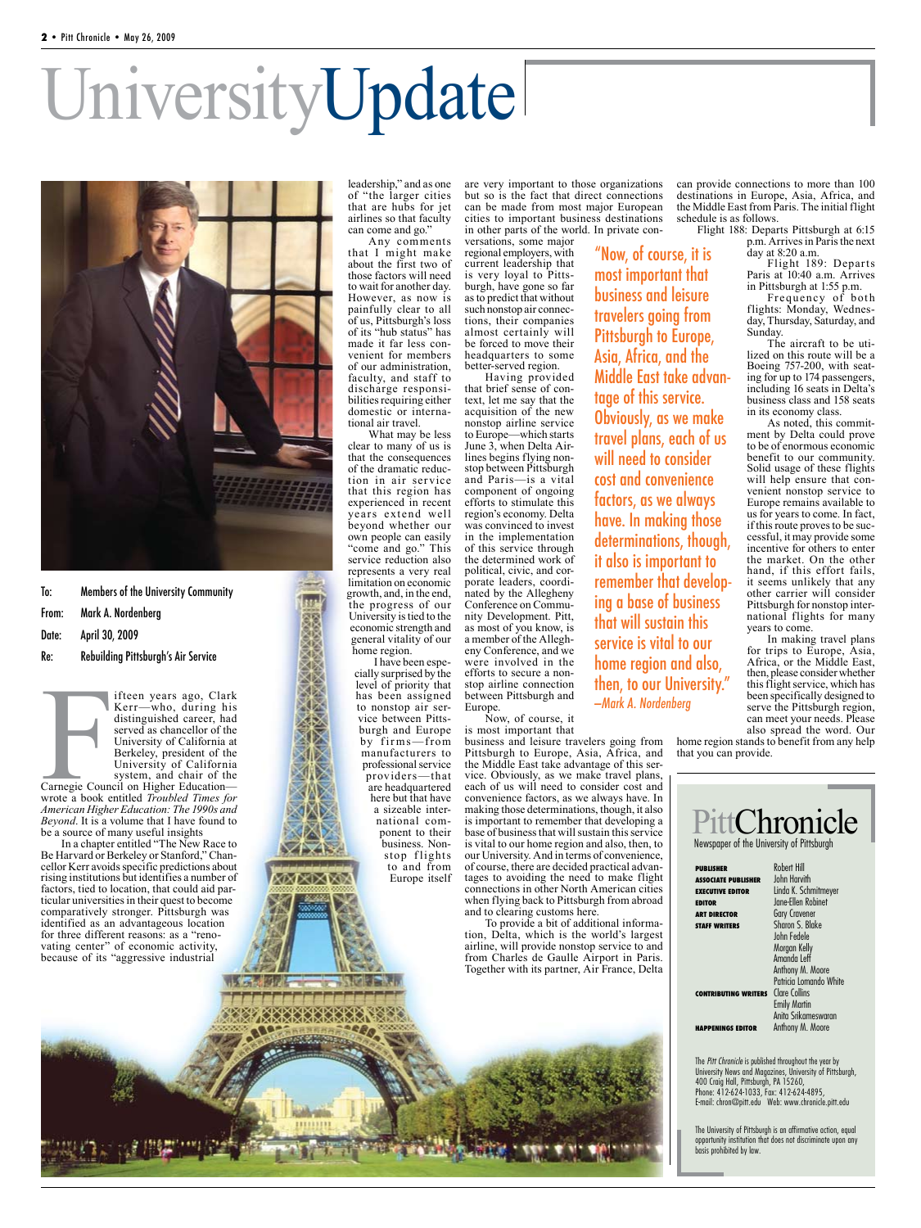# UniversityUpdate



To: Members of the University Community

### From: Mark A. Nordenberg

Date: April 30, 2009

#### Re: Rebuilding Pittsburgh's Air Service

ifteen years ago, Clark Kerr—who, during his distinguished career, had served as chancellor of the University of California at Berkeley, president of the University of California system, and chair of the

Example County<br>Carnegie County<br>With the Wither Carnegie Council on Higher Education wrote a book entitled *Troubled Times for American Higher Education: The 1990s and Beyond*. It is a volume that I have found to be a source of many useful insights

In a chapter entitled "The New Race to Be Harvard or Berkeley or Stanford," Chancellor Kerr avoids specific predictions about rising institutions but identifies a number of factors, tied to location, that could aid particular universities in their quest to become comparatively stronger. Pittsburgh was identified as an advantageous location for three different reasons: as a "renovating center" of economic activity, because of its "aggressive industrial

leadership," and as one of "the larger cities that are hubs for jet airlines so that faculty can come and go."

Any comments that I might make about the first two of those factors will need to wait for another day. However, as now is painfully clear to all of us, Pittsburgh's loss of its "hub status" has venient for members of our administration, faculty, and staff to bilities requiring either domestic or interna- tional air travel.

What may be less clear to many of us is that the consequences<br>of the dramatic reduction in air service that this region has experienced in recent years extend well beyond whether our own people can easily "come and go." This service reduction also represents a very real limitation on economic growth, and, in the end, the progress of our University is tied to the economic strength and general vitality of our home region.

I have been especially surprised by the level of priority that has been assigned to nonstop air service between Pittsburgh and Europe by firms-from manufacturers to professional service providers—that are headquartered here but that have a sizeable international component to their business. Nonstop flights to and from

Europe itself

are very important to those organizations but so is the fact that direct connections can be made from most major European cities to important business destinations in other parts of the world. In private con-

> "Now, of course, it is most important that business and leisure travelers going from Pittsburgh to Europe, Asia, Africa, and the

versations, some major regional employers, with current leadership that is very loyal to Pittsburgh, have gone so far as to predict that without tions, their companies almost certainly will be forced to move their headquarters to some better-served region.

Having provided<br>that brief sense of context, let me say that the acquisition of the new nonstop airline service to Europe—which starts<br>June 3, when Delta Airlines begins flying non-<br>stop between Pittsburgh and Paris—is a vital component of ongoing efforts to stimulate this region's economy. Delta was convinced to invest in the implementation of this service through the determined work of political, civic, and cor-<br>porate leaders, coordi-<br>nated by the Allegheny<br>Conference on Community Development. Pitt, as most of you know, is a member of the Allegheny Conference, and we were involved in the efforts to secure a nonstop airline connection between Pittsburgh and Europe. Middle East take advantage of this service. Obviously, as we make travel plans, each of us will need to consider cost and convenience factors, as we always have. In making those determinations, though, it also is important to remember that developing a base of business that will sustain this service is vital to our home region and also, then, to our University." —Mark A. Nordenberg

Now, of course, it is most important that

business and leisure travelers going from Pittsburgh to Europe, Asia, Africa, and the Middle East take advantage of this service. Obviously, as we make travel plans, each of us will need to consider cost and convenience factors, as we always have. In making those determinations, though, it also is important to remember that developing a base of business that will sustain this service is vital to our home region and also, then, to our University. And in terms of convenience, tages to avoiding the need to make flight connections in other North American cities when flying back to Pittsburgh from abroad and to clearing customs here.

To provide a bit of additional information, Delta, which is the world's largest airline, will provide nonstop service to and from Charles de Gaulle Airport in Paris. Together with its partner, Air France, Delta

can provide connections to more than 100 destinations in Europe, Asia, Africa, and the Middle East from Paris. The initial flight schedule is as follows.

Flight 188: Departs Pittsburgh at 6:15 p.m. Arrives in Paris the next day at 8:20 a.m.

Flight 189: Departs Paris at 10:40 a.m. Arrives in Pittsburgh at 1:55 p.m.

Frequency of both flights: Monday, Wednesday, Thursday, Saturday, and Sunday.

The aircraft to be utilized on this route will be a Boeing 757-200, with seating for up to 174 passengers, including 16 seats in Delta's business class and 158 seats in its economy class.

As noted, this commitment by Delta could prove to be of enormous economic benefit to our community. Solid usage of these flights will help ensure that convenient nonstop service to Europe remains available to us for years to come. In fact, if this route proves to be successful, it may provide some incentive for others to enter the market. On the other hand, if this effort fails, it seems unlikely that any other carrier will consider Pittsburgh for nonstop international flights for many years to come.

In making travel plans for trips to Europe, Asia, Africa, or the Middle East, then, please consider whether this flight service, which has been specifically designed to serve the Pittsburgh region, can meet your needs. Please also spread the word. Our

home region stands to benefit from any help that you can provide.

| <b>PUBLISHER</b>                     | <b>Robert Hill</b>                         |
|--------------------------------------|--------------------------------------------|
| <b>ASSOCIATE PUBLISHER</b>           | <b>John Harvith</b>                        |
| <b>EXECUTIVE EDITOR</b>              | Linda K. Schmitmeyer<br>Jane-Ellen Robinet |
| <b>EDITOR</b><br><b>ART DIRECTOR</b> | <b>Gary Cravener</b>                       |
| <b>STAFF WRITERS</b>                 | Sharon S. Blake                            |
|                                      | John Fedele                                |
|                                      | Morgan Kelly                               |
|                                      | Amanda Leff                                |
|                                      | Anthony M. Moore                           |
|                                      | Patricia Lomando White                     |
| <b>CONTRIBUTING WRITERS</b>          | <b>Clare Collins</b>                       |
|                                      | <b>Emily Martin</b>                        |
|                                      | Anita Srikameswaran                        |
| <b>HAPPENINGS EDITOR</b>             | Anthony M. Moore                           |

The University of Pittsburgh is an affirmative action, equal opportunity institution that does not discriminate upon any basis prohibited by law.

**XIXIXIXIXI**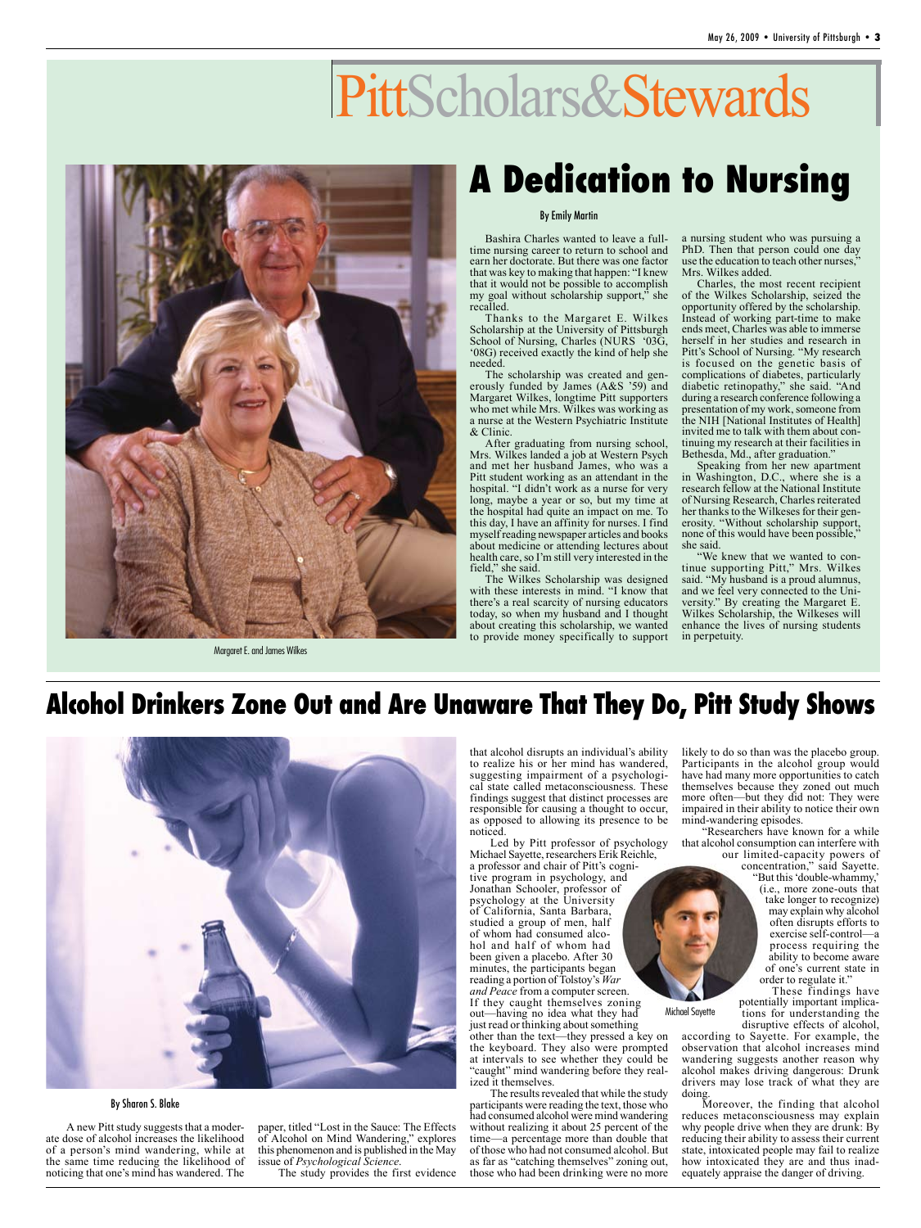# PittScholars&Stewards



Margaret E. and James Wilkes

## **A Dedication to Nursing**

#### By Emily Martin

Bashira Charles wanted to leave a fulltime nursing career to return to school and earn her doctorate. But there was one factor that was key to making that happen: "I knew that it would not be possible to accomplish my goal without scholarship support," she recalled.

Thanks to the Margaret E. Wilkes Scholarship at the University of Pittsburgh School of Nursing, Charles (NURS '03G, '08G) received exactly the kind of help she needed.

The scholarship was created and generously funded by James (A&S '59) and Margaret Wilkes, longtime Pitt supporters who met while Mrs. Wilkes was working as a nurse at the Western Psychiatric Institute & Clinic.

After graduating from nursing school, Mrs. Wilkes landed a job at Western Psych and met her husband James, who was a Pitt student working as an attendant in the hospital. "I didn't work as a nurse for very long, maybe a year or so, but my time at the hospital had quite an impact on me. To this day, I have an affinity for nurses. I find myself reading newspaper articles and books about medicine or attending lectures about health care, so I'm still very interested in the field," she said.

The Wilkes Scholarship was designed with these interests in mind. "I know that there's a real scarcity of nursing educators today, so when my husband and I thought about creating this scholarship, we wanted to provide money specifically to support

a nursing student who was pursuing a PhD. Then that person could one day use the education to teach other nurses,<sup>3</sup> Mrs. Wilkes added.

Charles, the most recent recipient of the Wilkes Scholarship, seized the opportunity offered by the scholarship. Instead of working part-time to make ends meet, Charles was able to immerse herself in her studies and research in Pitt's School of Nursing. "My research is focused on the genetic basis of complications of diabetes, particularly diabetic retinopathy," she said. "And during a research conference following a presentation of my work, someone from the NIH [National Institutes of Health] invited me to talk with them about continuing my research at their facilities in Bethesda, Md., after graduation."

Speaking from her new apartment in Washington, D.C., where she is a research fellow at the National Institute of Nursing Research, Charles reiterated her thanks to the Wilkeses for their generosity. "Without scholarship support, none of this would have been possible," she said.

"We knew that we wanted to continue supporting Pitt," Mrs. Wilkes said. "My husband is a proud alumnus, and we feel very connected to the University." By creating the Margaret E. Wilkes Scholarship, the Wilkeses will enhance the lives of nursing students in perpetuity.

## **Alcohol Drinkers Zone Out and Are Unaware That They Do, Pitt Study Shows**



By Sharon S. Blake

A new Pitt study suggests that a moderate dose of alcohol increases the likelihood of a person's mind wandering, while at the same time reducing the likelihood of noticing that one's mind has wandered. The paper, titled "Lost in the Sauce: The Effects of Alcohol on Mind Wandering," explores this phenomenon and is published in the May issue of *Psychological Science*.

The study provides the first evidence

that alcohol disrupts an individual's ability to realize his or her mind has wandered, suggesting impairment of a psychological state called metaconsciousness. These findings suggest that distinct processes are responsible for causing a thought to occur, as opposed to allowing its presence to be noticed.

Led by Pitt professor of psychology Michael Sayette, researchers Erik Reichle,

a professor and chair of Pitt's cognitive program in psychology, and Jonathan Schooler, professor of psychology at the University of California, Santa Barbara, studied a group of men, half<br>of whom had consumed alcohol and half of whom had been given a placebo. After 30 minutes, the participants began reading a portion of Tolstoy's *War and Peace* from a computer screen. If they caught themselves zoning out—having no idea what they had just read or thinking about something other than the text—they pressed a key on the keyboard. They also were prompted at intervals to see whether they could be "caught" mind wandering before they realized it themselves.

The results revealed that while the study participants were reading the text, those who had consumed alcohol were mind wandering without realizing it about 25 percent of the time—a percentage more than double that of those who had not consumed alcohol. But as far as "catching themselves" zoning out, those who had been drinking were no more

likely to do so than was the placebo group. Participants in the alcohol group would have had many more opportunities to catch themselves because they zoned out much more often—but they did not: They were impaired in their ability to notice their own mind-wandering episodes.

"Researchers have known for a while that alcohol consumption can interfere with our limited-capacity powers of

concentration," said Sayette. "But this 'double-whammy,' (i.e., more zone-outs that take longer to recognize) may explain why alcohol often disrupts efforts to exercise self-control—a process requiring the ability to become aware of one's current state in order to regulate it."

These findings have<br>potentially important implications for understanding the disruptive effects of alcohol,

according to Sayette. For example, the observation that alcohol increases mind wandering suggests another reason why alcohol makes driving dangerous: Drunk drivers may lose track of what they are doing.

Michael Sayette

Moreover, the finding that alcohol reduces metaconsciousness may explain why people drive when they are drunk: By reducing their ability to assess their current state, intoxicated people may fail to realize how intoxicated they are and thus inadequately appraise the danger of driving.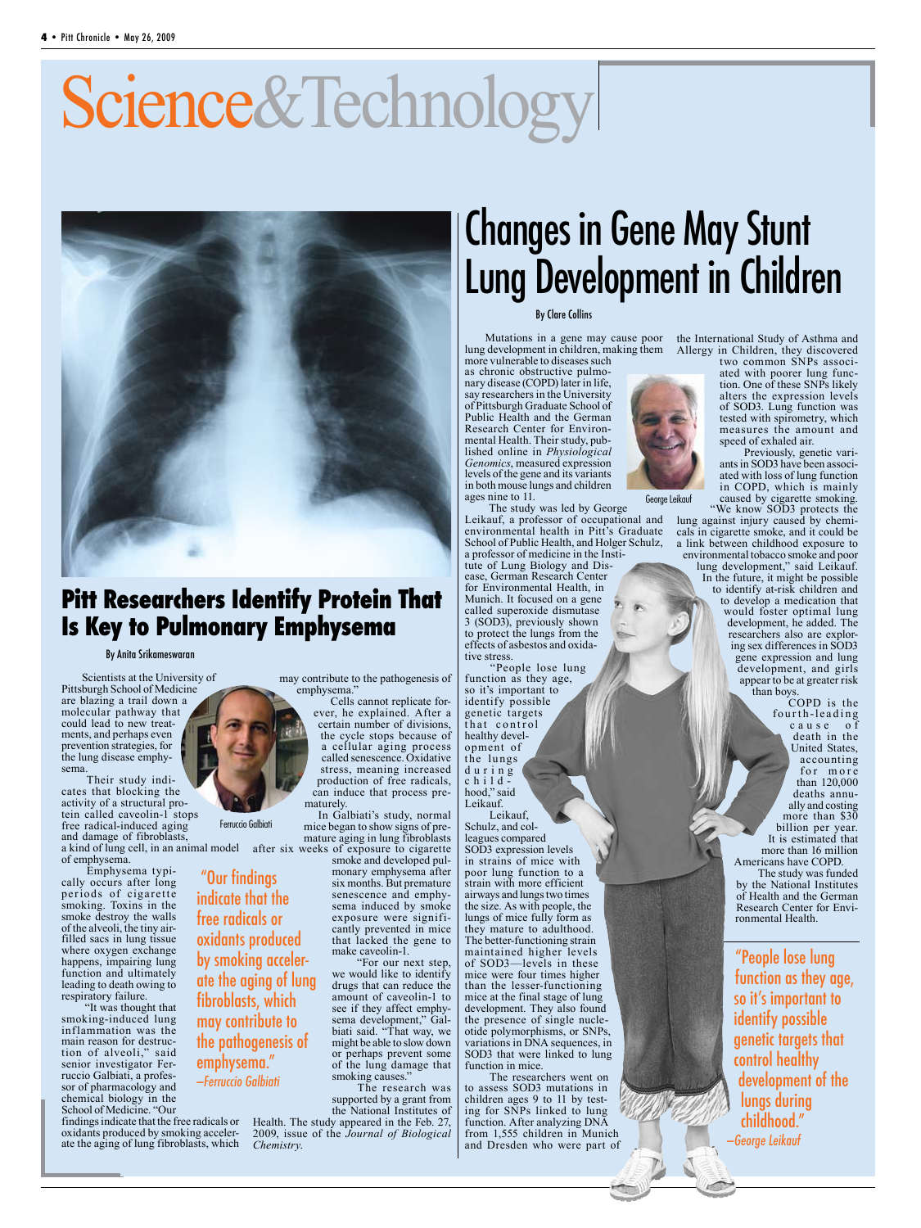# Science&Technology



### **Pitt Researchers Identify Protein That Is Key to Pulmonary Emphysema**

By Anita Srikameswaran

Scientists at the University of Pittsburgh School of Medicine are blazing a trail down a molecular pathway that could lead to new treat- ments, and perhaps even prevention strategies, for the lung disease emphy- sema.

Their study indicates that blocking the activity of a structural protein called caveolin-1 stops free radical-induced aging and damage of fibroblasts, a kind of lung cell, in an animal model of emphysema.

Emphysema typically occurs after long per iods of cigaret te smoking. Toxins in the smoke destroy the walls of the alveoli, the tiny airfilled sacs in lung tissue where oxygen exchange happens, impairing lung function and ultimately leading to death owing to respiratory failure.

"It was thought that oking-induced lung inflammation was the main reason for destruction of alveoli," said senior investigator Ferruccio Galbiati, a professor of pharmacology and chemical biology in the School of Medicine. "Our

findings indicate that the free radicals or Health. The study appeared in the Feb. 27, oxidants produced by smoking acceler- ate the aging of lung fibroblasts, which

may contribute to the pathogenesis of emphysema."

Cells cannot replicate forever, he explained. After a certain number of divisions, the cycle stops because of a cellular aging process called senescence. Oxidative stress, meaning increased production of free radicals, can induce that process pre- maturely.

In Galbiati's study, normal mice began to show signs of pre- mature aging in lung fibroblasts after six weeks of exposure to cigarette

smoke and developed pul- monary emphysema after six months. But premature senescence and emphy-<br>sema induced by smoke<br>exposure were signifiexposure were signifi- cantly prevented in mice that lacked the gene to make caveolin-1.

"For our next step, we would like to identify drugs that can reduce the amount of caveolin-1 to see if they affect emphy-<br>sema development," Gal-<br>biati said. "That way, we might be able to slow down or perhaps prevent some of the lung damage that smoking causes.'

The research was supported by a grant from the National Institutes of 2009, issue of the *Journal of Biological* 

# Changes in Gene May Stunt Lung Development in Children

#### By Clare Collins

Mutations in a gene may cause poor lung development in children, making them more vulnerable to diseases such

as chronic obstructive pulmonary disease (COPD) later in life, say researchers in the University of Pittsburgh Graduate School of Public Health and the German Research Center for Environmental Health. Their study, published online in *Physiological Genomics*, measured expression levels of the gene and its variants in both mouse lungs and children ages nine to 11.

The study was led by George Leikauf, a professor of occupational and environmental health in Pitt's Graduate School of Public Health, and Holger Schulz, a professor of medicine in the Institute of Lung Biology and Disease, German Research Center for Environmental Health, in Munich. It focused on a gene called superoxide dismutase 3 (SOD3), previously shown to protect the lungs from the effects of asbestos and oxidative stress.

"People lose lung function as they age, so it's important to identify possible genetic targets that control healthy development of the lungs d u r i n g child hood," said Leikauf.

Leikauf, Schulz, and colleagues compared SOD3 expression levels in strains of mice with poor lung function to a strain with more efficient airways and lungs two times the size. As with people, the lungs of mice fully form as they mature to adulthood. The better-functioning strain maintained higher levels of SOD3—levels in these mice were four times higher than the lesser-functioning mice at the final stage of lung development. They also found the presence of single nucle- otide polymorphisms, or SNPs, variations in DNA sequences, in SOD3 that were linked to lung function in mice.

The researchers went on to assess SOD3 mutations in children ages 9 to 11 by testing for SNPs linked to lung function. After analyzing DNA from 1,555 children in Munich and Dresden who were part of



George Leikauf

the International Study of Asthma and Allergy in Children, they discovered<br>two common SNPs associ-

ated with poorer lung func-<br>tion. One of these SNPs likely alters the expression levels of SOD3. Lung function was tested with spirometry, which measures the amount and speed of exhaled air.

Previously, genetic variants in SOD3 have been associated with loss of lung function in COPD, which is mainly caused by cigarette smoking.

"We know SOD3 protects the lung against injury caused by chemicals in cigarette smoke, and it could be a link between childhood exposure to environmental tobacco smoke and poor lung development," said Leikauf. In the future, it might be possible to identify at-risk children and to develop a medication that would foster optimal lung development, he added. The

researchers also are exploring sex differences in SOD3 gene expression and lung development, and girls appear to be at greater risk than boys.

COPD is the fourth-leading c a u s e o f death in the United States, accounting for more than 120,000 deaths annually and costing more than \$30 billion per year. It is estimated that more than 16 million Americans have COPD.

The study was funded by the National Institutes of Health and the German Research Center for Envi- ronmental Health.

"People lose lung function as they age, so it's important to identify possible genetic targets that control healthy development of the lungs during childhood." —George Leikauf



"Our findings

indicate that the free radicals or oxidants produced by smoking accelerate the aging of lung fibroblasts, which may contribute to the pathogenesis of emphysema." —Ferruccio Galbiati

*Chemistry*.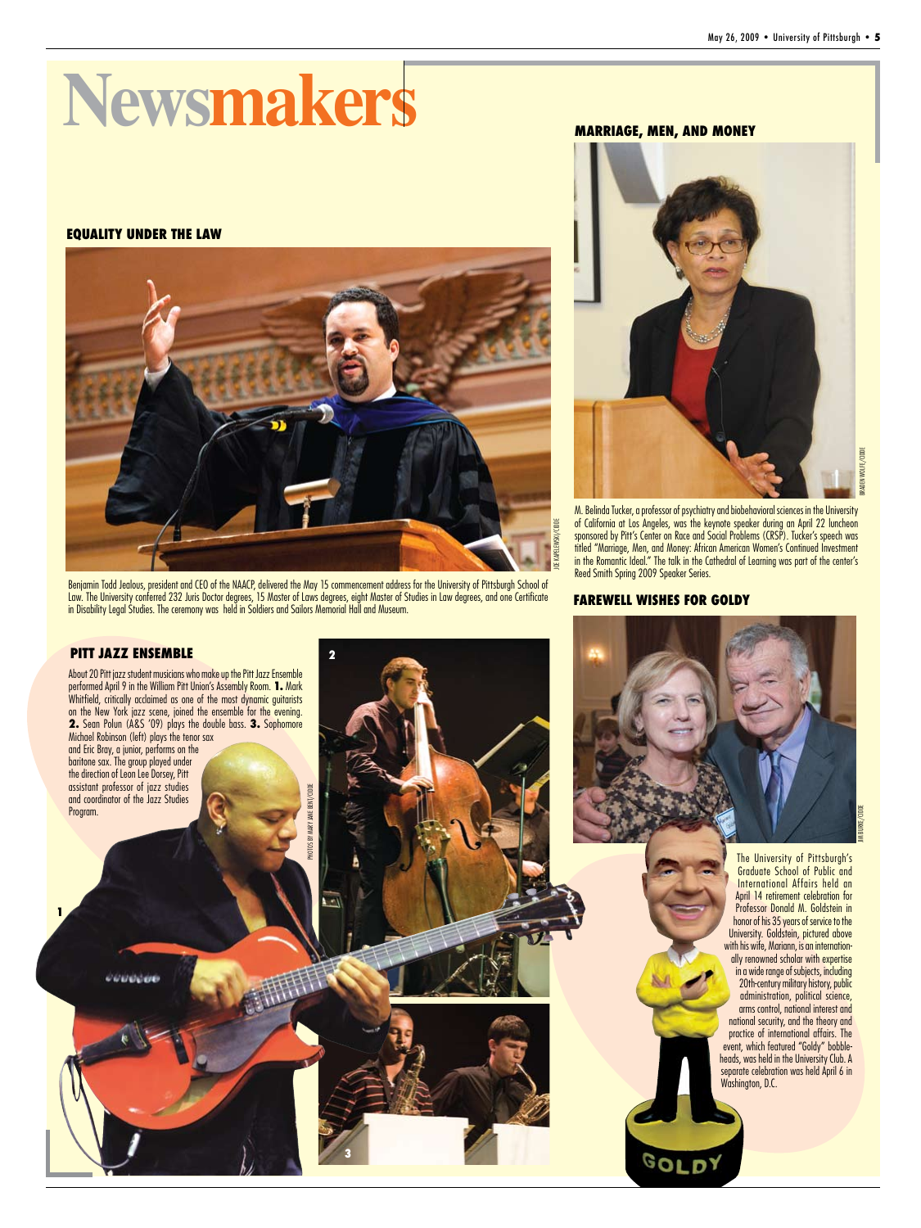# **Newsmakers**

#### **EQUALITY UNDER THE LAW**



Benjamin Todd Jealous, president and CEO of the NAACP, delivered the May 15 commencement address for the University of Pittsburgh School of Law. The University conferred 232 Juris Doctor degrees, 15 Master of Laws degrees, eight Master of Studies in Law degrees, and one Certificate in Disability Legal Studies. The ceremony was held in Soldiers and Sailors Memorial Hall and Museum.





M. Belinda Tucker, a professor of psychiatry and biobehavioral sciences in the University of California at Los Angeles, was the keynote speaker during an April 22 luncheon sponsored by Pitt's Center on Race and Social Problems (CRSP). Tucker's speech was titled "Marriage, Men, and Money: African American Women's Continued Investment in the Romantic Ideal." The talk in the Cathedral of Learning was part of the center's Reed Smith Spring 2009 Speaker Series.

#### **FAREWELL WISHES FOR GOLDY**



**3**

JIM BURKE/CIDDEURKE/CIDDI The University of Pittsburgh's Graduate School of Public and International Affairs held an April 14 retirement celebration for Professor Donald M. Goldstein in honor of his 35 years of service to the University. Goldstein, pictured above with his wife, Mariann, is an internationally renowned scholar with expertise in a wide range of subjects, including 20th-century military history, public

administration, political science, arms control, national interest and tional security, and the theory and practice of international affairs. The event, which featured "Goldy" bobbleheads, was held in the University Club. A separate celebration was held April 6 in Washington, D.C.

GOLDY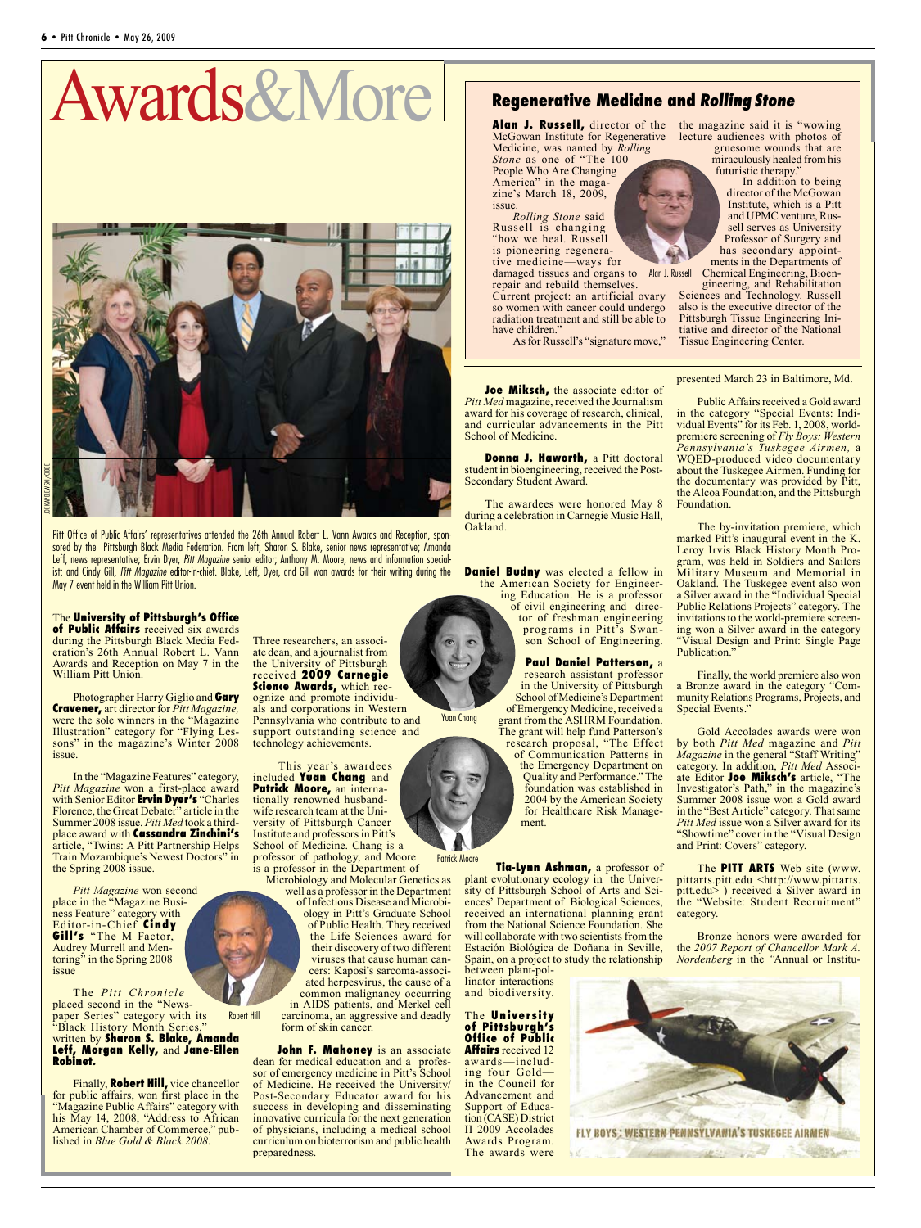# Awards&More



Pitt Office of Public Affairs' representatives attended the 26th Annual Robert L. Vann Awards and Reception, sponsored by the Pittsburgh Black Media Federation. From left, Sharon S. Blake, senior news representative; Amanda Leff, news representative; Ervin Dyer, *Pitt Magazine* senior editor; Anthony M. Moore, news and information specialist; and Cindy Gill, *Pitt Magazine* editor-in-chief. Blake, Leff, Dyer, and Gill won awards for their writing during the May 7 event held in the William Pitt Union.

#### The **University of Pittsburgh's Office of Public Affairs** received six awards

during the Pittsburgh Black Media Federation's 26th Annual Robert L. Vann Awards and Reception on May 7 in the William Pitt Union.

Photographer Harry Giglio and **Gary Cravener,** art director for *Pitt Magazine,*  were the sole winners in the "Magazine Illustration" category for "Flying Lessons" in the magazine's Winter 2008 issue.

In the "Magazine Features" category, *Pitt Magazine* won a first-place award with Senior Editor **Ervin Dyer's** "Charles Florence, the Great Debater" article in the Summer 2008 issue. *Pitt Med* took a thirdplace award with **Cassandra Zinchini's**  article, "Twins: A Pitt Partnership Helps Train Mozambique's Newest Doctors" in the Spring 2008 issue.

*Pitt Magazine* won second place in the "Magazine Business Feature" category with Editor-in-Chief **Cindy Gill's** "The M Factor, Audrey Murrell and Mentoring" in the Spring 2008 issue

The *Pitt Chronicle*  placed second in the "Newspaper Series" category with its "Black History Month Series," written by **Sharon S. Blake, Amanda Leff, Morgan Kelly,** and **Jane-Ellen Robinet.** Robert Hill

Finally, **Robert Hill,** vice chancellor for public affairs, won first place in the "Magazine Public Affairs" category with his May 14, 2008, "Address to African American Chamber of Commerce," published in *Blue Gold & Black 2008*.

Three researchers, an associate dean, and a journalist from the University of Pittsburgh received **2009 Carnegie Science Awards,** which recognize and promote individuals and corporations in Western Pennsylvania who contribute to and support outstanding science and technology achievements.

This year's awardees included **Yuan Chang** and **Patrick Moore,** an internationally renowned husbandwife research team at the University of Pittsburgh Cancer Institute and professors in Pitt's School of Medicine. Chang is a professor of pathology, and Moore

is a professor in the Department of Microbiology and Molecular Genetics as

well as a professor in the Department of Infectious Disease and Microbi- ology in Pitt's Graduate School of Public Health. They received the Life Sciences award for their discovery of two different cers: Kaposi's sarcoma-associ-<br>ated herpesvirus, the cause of a common malignancy occurring in AIDS patients, and Merkel cell carcinoma, an aggressive and deadly form of skin cancer.

**John F. Mahoney** is an associate dean for medical education and a professor of emergency medicine in Pitt's School of Medicine. He received the University/ Post-Secondary Educator award for his success in developing and disseminating innovative curricula for the next generation of physicians, including a medical school curriculum on bioterrorism and public health preparedness.

#### **Regenerative Medicine and** Rolling Stone

McGowan Institute for Regenerative lecture audiences with photos of Medicine, was named by *Rolling Stone* as one of "The 100 People Who Are Changing America" in the maga-Alan J. Russell, director of the the magazine said it is "wowing

zine's March 18, 2009, issue. *Rolling Stone* said Russell is changing

"how we heal. Russell is pioneering regenerative medicine—ways for

damaged tissues and organs to Alan J. Russell repair and rebuild themselves. Current project: an artificial ovary

so women with cancer could undergo radiation treatment and still be able to have children."

As for Russell's "signature move,"

**Joe Miksch,** the associate editor of *Pitt Med* magazine, received the Journalism award for his coverage of research, clinical, and curricular advancements in the Pitt School of Medicine.

**Donna J. Haworth, a Pitt doctoral** student in bioengineering, received the Post-Secondary Student Award.

The awardees were honored May 8 during a celebration in Carnegie Music Hall, Oakland.

**Daniel Budny** was elected a fellow in the American Society for Engineering Education. He is a professor of civil engineering and director of freshman engineering programs in Pitt's Swanson School of Engineering.

> **Paul Daniel Patterson,** a research assistant professor in the University of Pittsburgh School of Medicine's Department of Emergency Medicine, received a grant from the ASHRM Foundation. The grant will help fund Patterson's research proposal, "The Effect of Communication Patterns in the Emergency Department on Quality and Performance." The foundation was established in 2004 by the American Society for Healthcare Risk Management.

Patrick Moore **Tia-Lynn Ashman,** a professor of plant evolutionary ecology in the University of Pittsburgh School of Arts and Sciences' Department of Biological Sciences, received an international planning grant from the National Science Foundation. She will collaborate with two scientists from the Estación Biológica de Doñana in Seville, Spain, on a project to study the relationship between plant-pol-

linator interactions and biodiversity.

The **University of Pittsburgh's Office of Public Affairs** received 12<br>awards—including four Gold in the Council for Advancement and Support of Educa- tion (CASE) District II 2009 Accolades Awards Program. The awards were



gineering, and Rehabilitation Sciences and Technology. Russell also is the executive director of the Pittsburgh Tissue Engineering Initiative and director of the National Tissue Engineering Center.

In addition to being

presented March 23 in Baltimore, Md.

Public Affairs received a Gold award in the category "Special Events: Individual Events" for its Feb. 1, 2008, worldpremiere screening of *Fly Boys: Western Pennsylvania's Tuskegee Airmen,* a WQED-produced video documentary about the Tuskegee Airmen. Funding for the documentary was provided by Pitt, the Alcoa Foundation, and the Pittsburgh Foundation.

The by-invitation premiere, which marked Pitt's inaugural event in the K. Leroy Irvis Black History Month Program, was held in Soldiers and Sailors Military Museum and Memorial in Oakland. The Tuskegee event also won a Silver award in the "Individual Special Public Relations Projects" category. The invitations to the world-premiere screening won a Silver award in the category "Visual Design and Print: Single Page Publication."

Finally, the world premiere also won a Bronze award in the category "Community Relations Programs, Projects, and Special Events."

Gold Accolades awards were won by both *Pitt Med* magazine and *Pitt Magazine* in the general "Staff Writing" category. In addition, *Pitt Med* Associate Editor **Joe Miksch's** article, "The Investigator's Path," in the magazine's Summer 2008 issue won a Gold award in the "Best Article" category. That same *Pitt Med* issue won a Silver award for its "Showtime" cover in the "Visual Design and Print: Covers" category.

The **PITT ARTS** Web site (www. pittarts.pitt.edu <http://www.pittarts.  $pitch\$ ) received a Silver award in the "Website: Student Recruitment" category.

Bronze honors were awarded for the *2007 Report of Chancellor Mark A. Nordenberg* in the *"*Annual or Institu-



Yuan Chang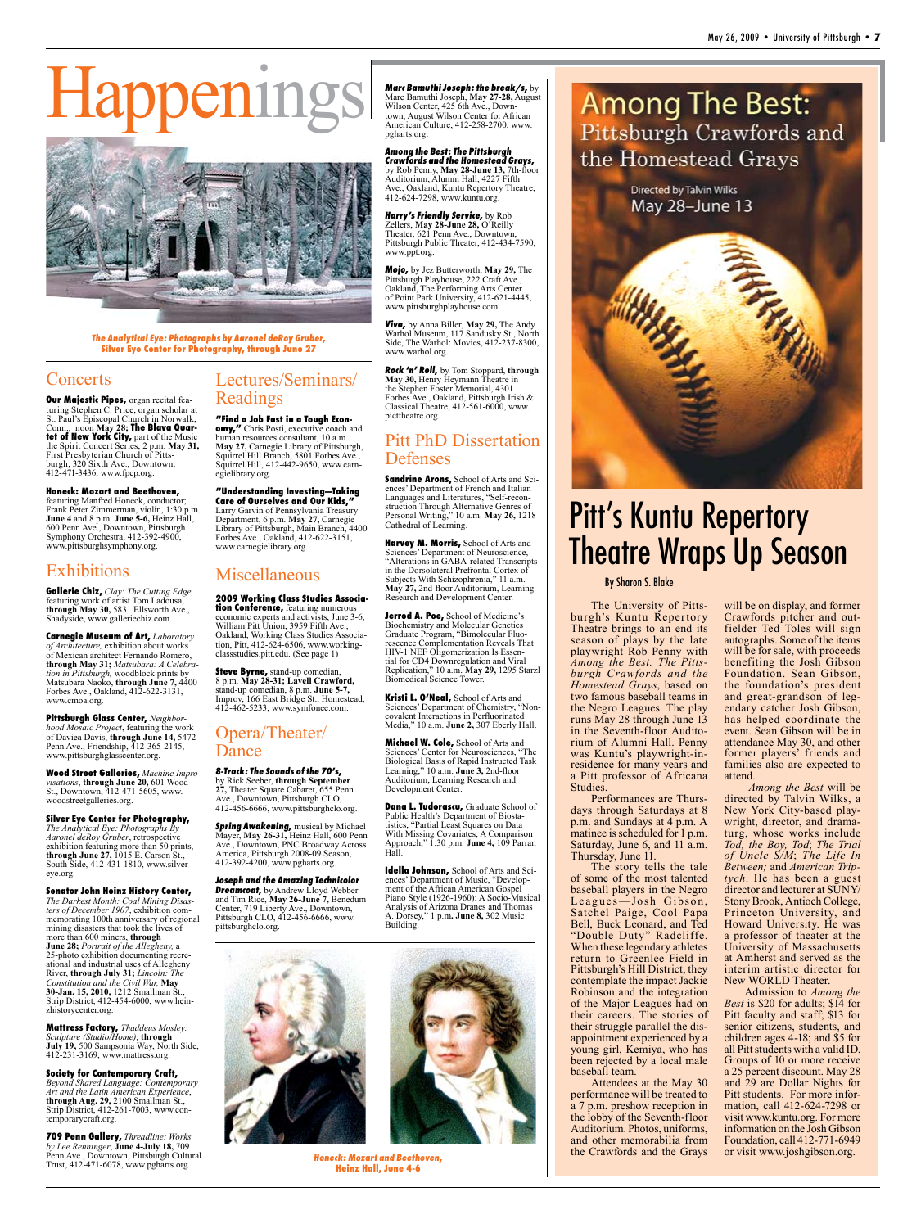



The Analytical Eye: Photographs by Aaronel deRoy Gruber, **Silver Eye Center for Photography, through June 27**

#### **Concerts**

**Our Majestic Pipes,** organ recital featuring Stephen C. Price, organ scholar at St. Paul's Episcopal Church in Norwalk, Conn., noon **May 28; The Blava Quartet of New York City,** part of the Music the Spirit Concert Series, 2 p.m. **May 31,** First Presbyterian Church of Pittsburgh, 320 Sixth Ave., Downtown, 412-471-3436, www.fpcp.org.

**Honeck: Mozart and Beethoven,** featuring Manfred Honeck, conductor; Frank Peter Zimmerman, violin, 1:30 p.m. **June 4** and 8 p.m. **June 5-6,** Heinz Hall, 600 Penn Ave., Downtown, Pittsburgh Symphony Orchestra, 412-392-4900, www.pittsburghsymphony.org.

#### Exhibitions

**Gallerie Chiz,** *Clay: The Cutting Edge,*  featuring work of artist Tom Ladousa, **through May 30,** 5831 Ellsworth Ave., Shadyside, www.galleriechiz.com.

**Carnegie Museum of Art,** *Laboratory of Architecture,* exhibition about works of Mexican architect Fernando Romero, **through May 31;** *Matsubara: A Celebration in Pittsburgh,* woodblock prints by Matsubara Naoko, **through June 7,** 4400 Forbes Ave., Oakland, 412-622-3131, www.cmoa.org.

**Pittsburgh Glass Center,** *Neighborhood Mosaic Project*, featuring the work of Daviea Davis, **through June 14,** 5472 Penn Ave., Friendship, 412-365-2145, www.pittsburghglasscenter.org.

**Wood Street Galleries,** *Machine Impro-visations*, **through June 20,** 601 Wood St., Downtown, 412-471-5605, www. woodstreetgalleries.org.

**Silver Eye Center for Photography,** *The Analytical Eye: Photographs By Aaronel deRoy Gruber*, retrospective exhibition featuring more than 50 prints, **through June 27,** 1015 E. Carson St., South Side, 412-431-1810, www.silvereye.org.

**Senator John Heinz History Center,**  *The Darkest Month: Coal Mining Disasters of December 1907*, exhibition commemorating 100th anniversary of regional mining disasters that took the lives of more than 600 miners, **through June 28;** *Portrait of the Allegheny,* a 25-photo exhibition documenting recreational and industrial uses of Allegheny River, **through July 31;** *Lincoln: The Constitution and the Civil War,* **May 30-Jan. 15, 2010,** 1212 Smallman St., Strip District, 412-454-6000, www.heinzhistorycenter.org.

**Mattress Factory,** *Thaddeus Mosley: Sculpture (Studio/Home),* **through July 19,** 500 Sampsonia Way, North Side, 412-231-3169, www.mattress.org.

**Society for Contemporary Craft,** *Beyond Shared Language: Contemporary Art and the Latin American Experience*, **through Aug. 29,** 2100 Smallman St., Strip District, 412-261-7003, www.contemporarycraft.org.

**709 Penn Gallery,** *Threadline: Works by Lee Renninger*, **June 4-July 18,** 709 Penn Ave., Downtown, Pittsburgh Cultural Trust, 412-471-6078, www.pgharts.org.

#### Lectures/Seminars/ Readings

**"Find a Job Fast in a Tough Economy,"** Chris Posti, executive coach and human resources consultant, 10 a.m. **May 27,** Carnegie Library of Pittsburgh, Squirrel Hill Branch, 5801 Forbes Ave., Squirrel Hill, 412-442-9650, www.carnegielibrary.org.

**"Understanding Investing—Taking Care of Ourselves and Our Kids,"** Larry Garvin of Pennsylvania Treasury Department, 6 p.m. **May 27,** Carnegie Library of Pittsburgh, Main Branch, 4400 Forbes Ave., Oakland, 412-622-3151, www.carnegielibrary.org.

#### Miscellaneous

**2009 Working Class Studies Association Conference,** featuring numerous economic experts and activists, June 3-6, William Pitt Union, 3959 Fifth Ave., Oakland, Working Class Studies Association, Pitt, 412-624-6506, www.workingclassstudies.pitt.edu. (See page 1)

**Steve Byrne,** stand-up comedian, 8 p.m. **May 28-31; Lavell Crawford,**  stand-up comedian, 8 p.m. **June 5-7,**  Improv, 166 East Bridge St., Homestead, 412-462-5233, www.symfonee.com.

#### Opera/Theater/ Dance

8-Track: The Sounds of the 70's, by Rick Seeber, **through September 27,** Theater Square Cabaret, 655 Penn Ave., Downtown, Pittsburgh CLO, 412-456-6666, www.pittsburghclo.org.

Spring Awakening, musical by Michael Mayer, **May 26-31,** Heinz Hall, 600 Penn Ave., Downtown, PNC Broadway Across America, Pittsburgh 2008-09 Season, 412-392-4200, www.pgharts.org.

Joseph and the Amazing Technicolor **Dreamcoat,** by Andrew Lloyd Webber and Tim Rice, **May 26-June 7,** Benedum Center, 719 Liberty Ave., Downtown, Pittsburgh CLO, 412-456-6666, www. pittsburghclo.org.



**Heinz Hall, June 4-6**

Marc Bamuthi Joseph: the break/s,  $by$ Marc Bamuthi Joseph, **May 27-28,** August Wilson Center, 425 6th Ave., Downtown, August Wilson Center for African American Culture, 412-258-2700, www. pgharts.org.

Among the Best: The Pittsburgh Crawfords and the Homestead Grays, by Rob Penny, **May 28-June 13,** 7th-floor Auditorium, Alumni Hall, 4227 Fifth Ave., Oakland, Kuntu Repertory Theatre, 412-624-7298, www.kuntu.org.

Harry's Friendly Service, by Rob Zellers, **May 28-June 28,** O'Reilly Theater, 621 Penn Ave., Downtown, Pittsburgh Public Theater, 412-434-7590, www.ppt.org.

Mojo, by Jez Butterworth, **May 29,** The Pittsburgh Playhouse, 222 Craft Ave., Oakland, The Performing Arts Center of Point Park University, 412-621-4445, www.pittsburghplayhouse.com.

Viva, by Anna Biller, **May 29,** The Andy Warhol Museum, 117 Sandusky St., North Side, The Warhol: Movies, 412-237-8300, www.warhol.org.

Rock 'n' Roll, by Tom Stoppard, **through May 30,** Henry Heymann Theatre in the Stephen Foster Memorial, 4301 Forbes Ave., Oakland, Pittsburgh Irish & Classical Theatre, 412-561-6000, www. picttheatre.org.

#### Pitt PhD Dissertation Defenses

**Sandrine Arons,** School of Arts and Sciences' Department of French and Italian Languages and Literatures, "Self-reconstruction Through Alternative Genres of Personal Writing," 10 a.m. **May 26,** 1218 Cathedral of Learning.

**Harvey M. Morris,** School of Arts and Sciences' Department of Neuroscience, "Alterations in GABA-related Transcripts in the Dorsolateral Prefrontal Cortex of Subjects With Schizophrenia," 11 a.m. **May 27,** 2nd-floor Auditorium, Learning Research and Development Center.

**Jerrod A. Poe,** School of Medicine's Biochemistry and Molecular Genetics Graduate Program, "Bimolecular Fluorescence Complementation Reveals That HIV-1 NEF Oligomerization Is Essential for CD4 Downregulation and Viral Replication," 10 a.m. **May 29,** 1295 Starzl Biomedical Science Tower.

**Kristi L. O'Neal,** School of Arts and Sciences' Department of Chemistry, "Noncovalent Interactions in Perfluorinated Media," 10 a.m. **June 2,** 307 Eberly Hall.

**Michael W. Cole,** School of Arts and Sciences' Center for Neurosciences, "The Biological Basis of Rapid Instructed Task Learning," 10 a.m. **June 3,** 2nd-floor Auditorium, Learning Research and Development Center.

**Dana L. Tudorascu,** Graduate School of Public Health's Department of Biostatistics, "Partial Least Squares on Data With Missing Covariates; A Comparison Approach," 1:30 p.m. **June 4,** 109 Parran Hall.

**Idella Johnson,** School of Arts and Sci-ences' Department of Music, "Development of the African American Gospel Piano Style (1926-1960): A Socio-Musical Analysis of Arizona Dranes and Thomas A. Dorsey," 1 p.m**. June 8,** 302 Music Building.



### **Among The Best:** Pittsburgh Crawfords and the Homestead Grays

Directed by Talvin Wilks May 28-June 13



## Pitt's Kuntu Repertory Theatre Wraps Up Season

#### By Sharon S. Blake

The University of Pittsburgh's Kuntu Repertory Theatre brings to an end its season of plays by the late playwright Rob Penny with *Among the Best: The Pittsburgh Crawfords and the Homestead Grays*, based on two famous baseball teams in the Negro Leagues. The play runs May 28 through June 13 in the Seventh-floor Auditorium of Alumni Hall. Penny was Kuntu's playwright-inresidence for many years and a Pitt professor of Africana Studies.

Performances are Thursdays through Saturdays at 8 p.m. and Sundays at 4 p.m. A matinee is scheduled for 1 p.m. Saturday, June 6, and 11 a.m. Thursday, June 11.

The story tells the tale of some of the most talented baseball players in the Negro Leagues-Josh Gibson, Satchel Paige, Cool Papa Bell, Buck Leonard, and Ted "Double Duty" Radcliffe. When these legendary athletes return to Greenlee Field in Pittsburgh's Hill District, they contemplate the impact Jackie Robinson and the integration of the Major Leagues had on their careers. The stories of their struggle parallel the disappointment experienced by a young girl, Kemiya, who has been rejected by a local male baseball team.

Attendees at the May 30 performance will be treated to a 7 p.m. preshow reception in the lobby of the Seventh-floor Auditorium. Photos, uniforms, and other memorabilia from Honeck: Mozart and Beethoven, https://www.joshgibson.org.

will be on display, and former<br>Crawfords pitcher and outfielder Ted Toles will sign autographs. Some of the items will be for sale, with proceeds benefiting the Josh Gibson Foundation. Sean Gibson, the foundation's president and great-grandson of leg- endary catcher Josh Gibson, has helped coordinate the event. Sean Gibson will be in attendance May 30, and other former players' friends and families also are expected to attend.

*Among the Best* will be directed by Talvin Wilks, a wright, director, and drama-<br>turg, whose works include *Tod, the Boy, Tod*; *The Trial of Uncle S/M*; *The Life In Between;* and *American Triptych*. He has been a guest director and lecturer at SUNY/ Stony Brook, Antioch College, Princeton University, and Howard University. He was a professor of theater at the University of Massachusetts at Amherst and served as the interim artistic director for New WORLD Theater.

Admission to *Among the Best* is \$20 for adults; \$14 for Pitt faculty and staff; \$13 for senior citizens, students, and children ages 4-18; and \$5 for all Pitt students with a valid ID. Groups of 10 or more receive a 25 percent discount. May 28 and 29 are Dollar Nights for Pitt students. For more information, call 412-624-7298 or visit www.kuntu.org. For more information on the Josh Gibson Foundation, call 412-771-6949<br>or visit www.joshgibson.org.